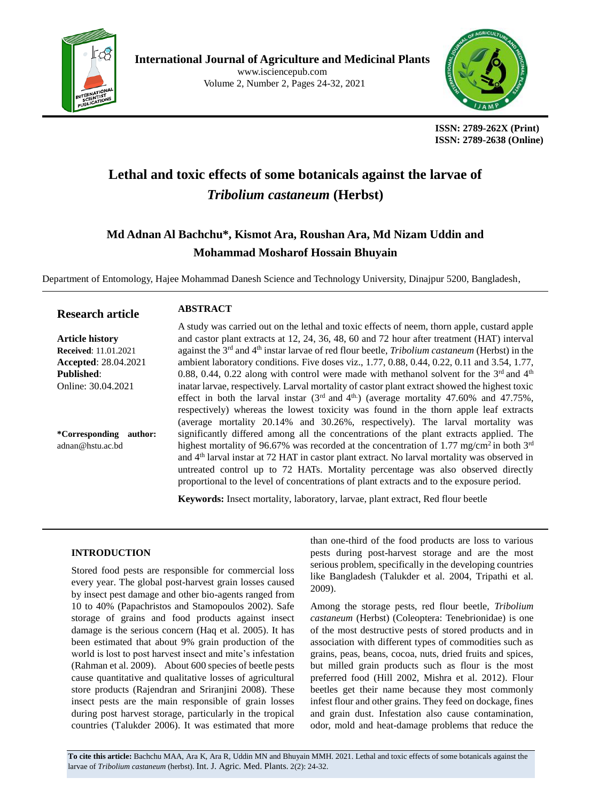



 **ISSN: 2789-262X (Print) ISSN: 2789-2638 (Online)**

# **Lethal and toxic effects of some botanicals against the larvae of**  *Tribolium castaneum* **(Herbst)**

# **Md Adnan Al Bachchu\*, Kismot Ara, Roushan Ara, Md Nizam Uddin and Mohammad Mosharof Hossain Bhuyain**

Department of Entomology, Hajee Mohammad Danesh Science and Technology University, Dinajpur 5200, Bangladesh,

**ABSTRACT**

#### **Research article**

#### **Article history Received**: 11.01.2021 **Accepted**: 28.04.2021 **Published**: Online: 30.04.2021

**\*Corresponding author:** adnan@hstu.ac.bd

A study was carried out on the lethal and toxic effects of neem, thorn apple, custard apple and castor plant extracts at 12, 24, 36, 48, 60 and 72 hour after treatment (HAT) interval against the 3rd and 4th instar larvae of red flour beetle, *Tribolium castaneum* (Herbst) in the ambient laboratory conditions. Five doses viz., 1.77, 0.88, 0.44, 0.22, 0.11 and 3.54, 1.77, 0.88, 0.44, 0.22 along with control were made with methanol solvent for the  $3<sup>rd</sup>$  and  $4<sup>th</sup>$ inatar larvae, respectively. Larval mortality of castor plant extract showed the highest toxic effect in both the larval instar  $(3<sup>rd</sup>$  and  $4<sup>th</sup>$ ) (average mortality 47.60% and 47.75%, respectively) whereas the lowest toxicity was found in the thorn apple leaf extracts (average mortality 20.14% and 30.26%, respectively). The larval mortality was significantly differed among all the concentrations of the plant extracts applied. The highest mortality of 96.67% was recorded at the concentration of 1.77 mg/cm<sup>2</sup> in both 3<sup>rd</sup> and 4th larval instar at 72 HAT in castor plant extract. No larval mortality was observed in untreated control up to 72 HATs. Mortality percentage was also observed directly proportional to the level of concentrations of plant extracts and to the exposure period.

**Keywords:** Insect mortality, laboratory, larvae, plant extract, Red flour beetle

#### **INTRODUCTION**

Stored food pests are responsible for commercial loss every year. The global post-harvest grain losses caused by insect pest damage and other bio-agents ranged from 10 to 40% (Papachristos and Stamopoulos 2002). Safe storage of grains and food products against insect damage is the serious concern (Haq et al. 2005). It has been estimated that about 9% grain production of the world is lost to post harvest insect and mite's infestation (Rahman et al. 2009). About 600 species of beetle pests cause quantitative and qualitative losses of agricultural store products (Rajendran and Sriranjini 2008). These insect pests are the main responsible of grain losses during post harvest storage, particularly in the tropical countries (Talukder 2006). It was estimated that more than one-third of the food products are loss to various pests during post-harvest storage and are the most serious problem, specifically in the developing countries like Bangladesh (Talukder et al. 2004, Tripathi et al. 2009).

Among the storage pests, red flour beetle, *Tribolium castaneum* (Herbst) (Coleoptera: Tenebrionidae) is one of the most destructive pests of stored products and in association with different types of commodities such as grains, peas, beans, cocoa, nuts, dried fruits and spices, but milled grain products such as flour is the most preferred food (Hill 2002, Mishra et al. 2012). Flour beetles get their name because they most commonly infest flour and other grains. They feed on dockage, fines and grain dust. Infestation also cause contamination, odor, mold and heat-damage problems that reduce the

**To cite this article:** Bachchu MAA, Ara K, Ara R, Uddin MN and Bhuyain MMH. 2021. Lethal and toxic effects of some botanicals against the larvae of *Tribolium castaneum* (herbst). Int. J. Agric. Med. Plants. 2(2): 24-32.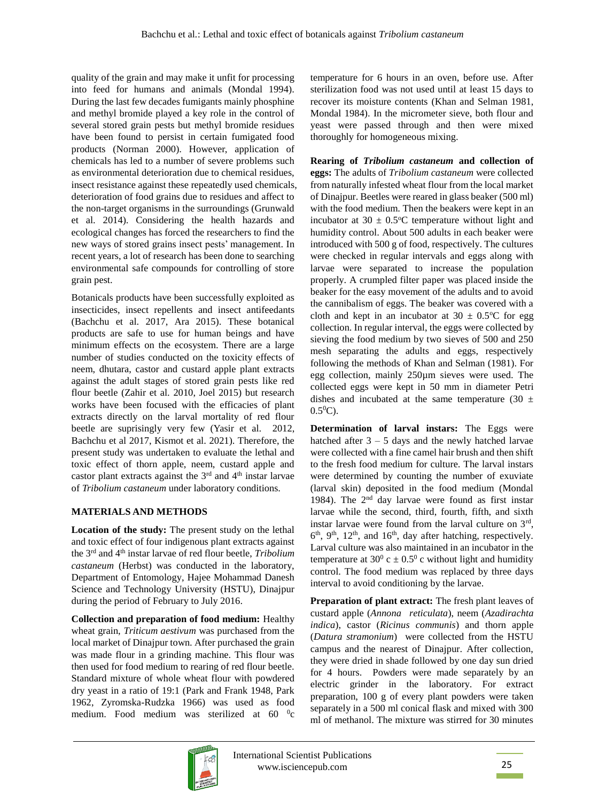quality of the grain and may make it unfit for processing into feed for humans and animals (Mondal 1994). During the last few decades fumigants mainly phosphine and methyl bromide played a key role in the control of several stored grain pests but methyl bromide residues have been found to persist in certain fumigated food products (Norman 2000). However, application of chemicals has led to a number of severe problems such as environmental deterioration due to chemical residues, insect resistance against these repeatedly used chemicals, deterioration of food grains due to residues and affect to the non-target organisms in the surroundings (Grunwald et al. 2014). Considering the health hazards and ecological changes has forced the researchers to find the new ways of stored grains insect pests' management. In recent years, a lot of research has been done to searching environmental safe compounds for controlling of store grain pest.

Botanicals products have been successfully exploited as insecticides, insect repellents and insect antifeedants (Bachchu et al. 2017, Ara 2015). These botanical products are safe to use for human beings and have minimum effects on the ecosystem. There are a large number of studies conducted on the toxicity effects of neem, dhutara, castor and custard apple plant extracts against the adult stages of stored grain pests like red flour beetle (Zahir et al. 2010, Joel 2015) but research works have been focused with the efficacies of plant extracts directly on the larval mortality of red flour beetle are suprisingly very few (Yasir et al*.* 2012, Bachchu et al 2017, Kismot et al. 2021). Therefore, the present study was undertaken to evaluate the lethal and toxic effect of thorn apple, neem, custard apple and castor plant extracts against the  $3<sup>rd</sup>$  and  $4<sup>th</sup>$  instar larvae of *Tribolium castaneum* under laboratory conditions.

## **MATERIALS AND METHODS**

**Location of the study:** The present study on the lethal and toxic effect of four indigenous plant extracts against the 3rd and 4th instar larvae of red flour beetle, *Tribolium castaneum* (Herbst) was conducted in the laboratory, Department of Entomology, Hajee Mohammad Danesh Science and Technology University (HSTU), Dinajpur during the period of February to July 2016.

**Collection and preparation of food medium:** Healthy wheat grain, *Triticum aestivum* was purchased from the local market of Dinajpur town. After purchased the grain was made flour in a grinding machine. This flour was then used for food medium to rearing of red flour beetle. Standard mixture of whole wheat flour with powdered dry yeast in a ratio of 19:1 (Park and Frank 1948, Park 1962, Zyromska-Rudzka 1966) was used as food medium. Food medium was sterilized at 60 <sup>0</sup>c

temperature for 6 hours in an oven, before use. After sterilization food was not used until at least 15 days to recover its moisture contents (Khan and Selman 1981, Mondal 1984). In the micrometer sieve, both flour and yeast were passed through and then were mixed thoroughly for homogeneous mixing.

**Rearing of** *Tribolium castaneum* **and collection of eggs:** The adults of *Tribolium castaneum* were collected from naturally infested wheat flour from the local market of Dinajpur. Beetles were reared in glass beaker (500 ml) with the food medium. Then the beakers were kept in an incubator at  $30 \pm 0.5^{\circ}$ C temperature without light and humidity control. About 500 adults in each beaker were introduced with 500 g of food, respectively. The cultures were checked in regular intervals and eggs along with larvae were separated to increase the population properly. A crumpled filter paper was placed inside the beaker for the easy movement of the adults and to avoid the cannibalism of eggs. The beaker was covered with a cloth and kept in an incubator at  $30 \pm 0.5$ °C for egg collection. In regular interval, the eggs were collected by sieving the food medium by two sieves of 500 and 250 mesh separating the adults and eggs, respectively following the methods of Khan and Selman (1981). For egg collection, mainly 250µm sieves were used. The collected eggs were kept in 50 mm in diameter Petri dishes and incubated at the same temperature (30  $\pm$  $0.5^{0}C$ ).

**Determination of larval instars:** The Eggs were hatched after  $3 - 5$  days and the newly hatched larvae were collected with a fine camel hair brush and then shift to the fresh food medium for culture. The larval instars were determined by counting the number of exuviate (larval skin) deposited in the food medium (Mondal 1984). The 2nd day larvae were found as first instar larvae while the second, third, fourth, fifth, and sixth instar larvae were found from the larval culture on  $3<sup>rd</sup>$ , 6<sup>th</sup>, 9<sup>th</sup>, 12<sup>th</sup>, and 16<sup>th</sup>, day after hatching, respectively. Larval culture was also maintained in an incubator in the temperature at  $30^{\circ}$  c  $\pm$  0.5<sup>°</sup> c without light and humidity control. The food medium was replaced by three days interval to avoid conditioning by the larvae.

**Preparation of plant extract:** The fresh plant leaves of custard apple (*Annona reticulata*), neem (*Azadirachta indica*), castor (*Ricinus communis*) and thorn apple (*Datura stramonium*) were collected from the HSTU campus and the nearest of Dinajpur. After collection, they were dried in shade followed by one day sun dried for 4 hours. Powders were made separately by an electric grinder in the laboratory. For extract preparation, 100 g of every plant powders were taken separately in a 500 ml conical flask and mixed with 300 ml of methanol. The mixture was stirred for 30 minutes

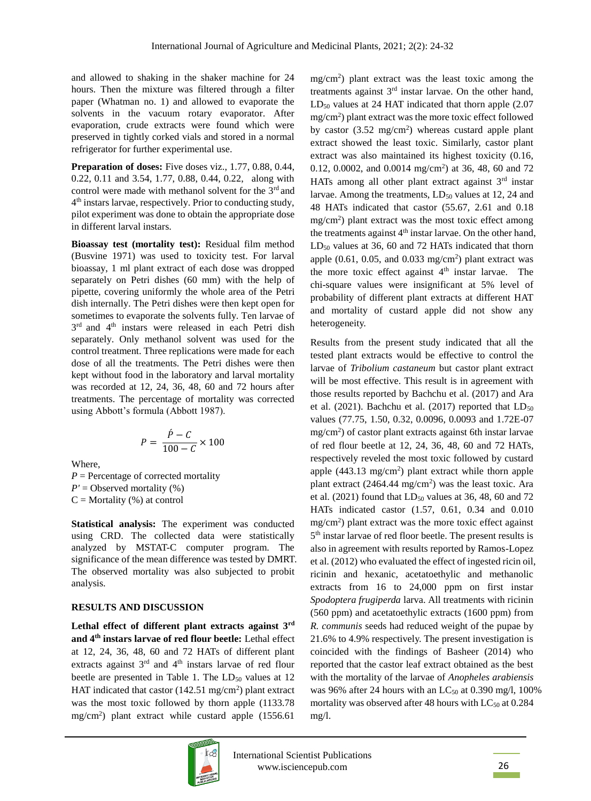and allowed to shaking in the shaker machine for 24 hours. Then the mixture was filtered through a filter paper (Whatman no. 1) and allowed to evaporate the solvents in the vacuum rotary evaporator. After evaporation, crude extracts were found which were preserved in tightly corked vials and stored in a normal refrigerator for further experimental use.

**Preparation of doses:** Five doses viz., 1.77, 0.88, 0.44, 0.22, 0.11 and 3.54, 1.77, 0.88, 0.44, 0.22, along with control were made with methanol solvent for the 3<sup>rd</sup> and 4 th instars larvae, respectively. Prior to conducting study, pilot experiment was done to obtain the appropriate dose in different larval instars.

**Bioassay test (mortality test):** Residual film method (Busvine 1971) was used to toxicity test. For larval bioassay, 1 ml plant extract of each dose was dropped separately on Petri dishes (60 mm) with the help of pipette, covering uniformly the whole area of the Petri dish internally. The Petri dishes were then kept open for sometimes to evaporate the solvents fully. Ten larvae of 3<sup>rd</sup> and 4<sup>th</sup> instars were released in each Petri dish separately. Only methanol solvent was used for the control treatment. Three replications were made for each dose of all the treatments. The Petri dishes were then kept without food in the laboratory and larval mortality was recorded at 12, 24, 36, 48, 60 and 72 hours after treatments. The percentage of mortality was corrected using Abbott's formula (Abbott 1987).

$$
P = \frac{\dot{P} - C}{100 - C} \times 100
$$

Where,

 $P =$  Percentage of corrected mortality  $P'$  = Observed mortality (%)  $C =$ Mortality (%) at control

**Statistical analysis:** The experiment was conducted using CRD. The collected data were statistically analyzed by MSTAT-C computer program. The significance of the mean difference was tested by DMRT. The observed mortality was also subjected to probit analysis.

#### **RESULTS AND DISCUSSION**

**Lethal effect of different plant extracts against 3rd and 4th instars larvae of red flour beetle:** Lethal effect at 12, 24, 36, 48, 60 and 72 HATs of different plant extracts against 3<sup>rd</sup> and 4<sup>th</sup> instars larvae of red flour beetle are presented in Table 1. The  $LD_{50}$  values at 12 HAT indicated that castor  $(142.51 \text{ mg/cm}^2)$  plant extract was the most toxic followed by thorn apple (1133.78 mg/cm<sup>2</sup> ) plant extract while custard apple (1556.61



 $LD_{50}$  values at 24 HAT indicated that thorn apple (2.07) mg/cm<sup>2</sup> ) plant extract was the more toxic effect followed by castor  $(3.52 \text{ mg/cm}^2)$  whereas custard apple plant extract showed the least toxic. Similarly, castor plant extract was also maintained its highest toxicity (0.16, 0.12, 0.0002, and 0.0014 mg/cm<sup>2</sup>) at 36, 48, 60 and 72 HATs among all other plant extract against 3rd instar larvae. Among the treatments,  $LD_{50}$  values at 12, 24 and 48 HATs indicated that castor (55.67, 2.61 and 0.18 mg/cm<sup>2</sup> ) plant extract was the most toxic effect among the treatments against  $4<sup>th</sup>$  instar larvae. On the other hand,  $LD_{50}$  values at 36, 60 and 72 HATs indicated that thorn apple  $(0.61, 0.05, \text{ and } 0.033 \text{ mg/cm}^2)$  plant extract was the more toxic effect against  $4<sup>th</sup>$  instar larvae. The chi-square values were insignificant at 5% level of probability of different plant extracts at different HAT and mortality of custard apple did not show any heterogeneity.

mg/cm<sup>2</sup> ) plant extract was the least toxic among the treatments against  $3<sup>rd</sup>$  instar larvae. On the other hand,

Results from the present study indicated that all the tested plant extracts would be effective to control the larvae of *Tribolium castaneum* but castor plant extract will be most effective. This result is in agreement with those results reported by Bachchu et al. (2017) and Ara et al. (2021). Bachchu et al. (2017) reported that LD<sub>50</sub> values (77.75, 1.50, 0.32, 0.0096, 0.0093 and 1.72E-07 mg/cm<sup>2</sup> ) of castor plant extracts against 6th instar larvae of red flour beetle at 12, 24, 36, 48, 60 and 72 HATs, respectively reveled the most toxic followed by custard apple  $(443.13 \text{ mg/cm}^2)$  plant extract while thorn apple plant extract  $(2464.44 \text{ mg/cm}^2)$  was the least toxic. Ara et al. (2021) found that  $LD_{50}$  values at 36, 48, 60 and 72 HATs indicated castor (1.57, 0.61, 0.34 and 0.010 mg/cm<sup>2</sup> ) plant extract was the more toxic effect against 5<sup>th</sup> instar larvae of red floor beetle. The present results is also in agreement with results reported by Ramos-Lopez et al. (2012) who evaluated the effect of ingested ricin oil, ricinin and hexanic, acetatoethylic and methanolic extracts from 16 to 24,000 ppm on first instar *Spodoptera frugiperda* larva. All treatments with ricinin (560 ppm) and acetatoethylic extracts (1600 ppm) from *R. communis* seeds had reduced weight of the pupae by 21.6% to 4.9% respectively. The present investigation is coincided with the findings of Basheer (2014) who reported that the castor leaf extract obtained as the best with the mortality of the larvae of *Anopheles arabiensis* was 96% after 24 hours with an  $LC_{50}$  at 0.390 mg/l, 100% mortality was observed after 48 hours with  $LC_{50}$  at 0.284 mg/l.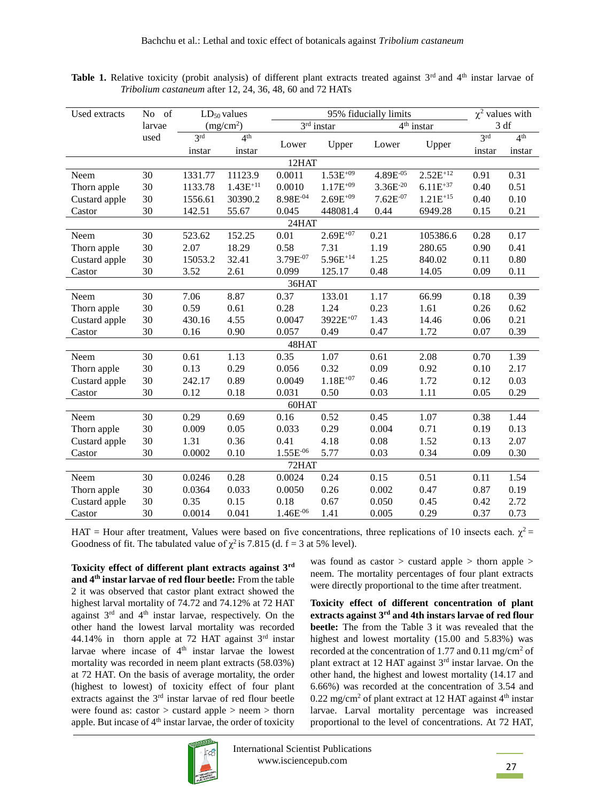| Used extracts | No of  |                 | $LD_{50}$ values      |               | $\chi^2$ values with |               |               |                 |                 |
|---------------|--------|-----------------|-----------------------|---------------|----------------------|---------------|---------------|-----------------|-----------------|
|               | larvae |                 | (mg/cm <sup>2</sup> ) |               | $3rd$ instar         |               | $4th$ instar  | 3 df            |                 |
|               | used   | 3 <sup>rd</sup> | 4 <sup>th</sup>       |               |                      |               |               | 3 <sup>rd</sup> | 4 <sup>th</sup> |
|               |        | instar          | instar                | Lower         | Upper                | Lower         | Upper         | instar          | instar          |
|               |        |                 |                       | 12HAT         |                      |               |               |                 |                 |
| Neem          | 30     | 1331.77         | 11123.9               | 0.0011        | $1.53E^{+09}$        | 4.89E-05      | $2.52E^{+12}$ | 0.91            | 0.31            |
| Thorn apple   | 30     | 1133.78         | $1.43E^{+11}$         | 0.0010        | $1.17E^{+09}$        | $3.36E^{-20}$ | $6.11E^{+37}$ | 0.40            | 0.51            |
| Custard apple | 30     | 1556.61         | 30390.2               | 8.98E-04      | $2.69E^{+09}$        | $7.62E^{-07}$ | $1.21E^{+15}$ | 0.40            | 0.10            |
| Castor        | 30     | 142.51          | 55.67                 | 0.045         | 448081.4             | 0.44          | 6949.28       | 0.15            | 0.21            |
| 24HAT         |        |                 |                       |               |                      |               |               |                 |                 |
| Neem          | 30     | 523.62          | 152.25                | 0.01          | $2.69E^{+07}$        | 0.21          | 105386.6      | 0.28            | 0.17            |
| Thorn apple   | 30     | 2.07            | 18.29                 | 0.58          | 7.31                 | 1.19          | 280.65        | 0.90            | 0.41            |
| Custard apple | 30     | 15053.2         | 32.41                 | 3.79E-07      | $5.96E^{+14}$        | 1.25          | 840.02        | 0.11            | 0.80            |
| Castor        | 30     | 3.52            | 2.61                  | 0.099         | 125.17               | 0.48          | 14.05         | 0.09            | 0.11            |
| 36HAT         |        |                 |                       |               |                      |               |               |                 |                 |
| Neem          | 30     | 7.06            | 8.87                  | 0.37          | 133.01               | 1.17          | 66.99         | 0.18            | 0.39            |
| Thorn apple   | 30     | 0.59            | 0.61                  | 0.28          | 1.24                 | 0.23          | 1.61          | 0.26            | 0.62            |
| Custard apple | 30     | 430.16          | 4.55                  | 0.0047        | 3922E <sup>+07</sup> | 1.43          | 14.46         | 0.06            | 0.21            |
| Castor        | 30     | 0.16            | 0.90                  | 0.057         | 0.49                 | 0.47          | 1.72          | 0.07            | 0.39            |
|               |        |                 |                       | 48HAT         |                      |               |               |                 |                 |
| Neem          | 30     | 0.61            | 1.13                  | 0.35          | 1.07                 | 0.61          | 2.08          | 0.70            | 1.39            |
| Thorn apple   | 30     | 0.13            | 0.29                  | 0.056         | 0.32                 | 0.09          | 0.92          | 0.10            | 2.17            |
| Custard apple | 30     | 242.17          | 0.89                  | 0.0049        | $1.18E^{+07}$        | 0.46          | 1.72          | 0.12            | 0.03            |
| Castor        | 30     | 0.12            | 0.18                  | 0.031         | 0.50                 | 0.03          | 1.11          | 0.05            | 0.29            |
|               |        |                 |                       | 60HAT         |                      |               |               |                 |                 |
| Neem          | 30     | 0.29            | 0.69                  | 0.16          | 0.52                 | 0.45          | 1.07          | 0.38            | 1.44            |
| Thorn apple   | 30     | 0.009           | 0.05                  | 0.033         | 0.29                 | 0.004         | 0.71          | 0.19            | 0.13            |
| Custard apple | 30     | 1.31            | 0.36                  | 0.41          | 4.18                 | 0.08          | 1.52          | 0.13            | 2.07            |
| Castor        | 30     | 0.0002          | 0.10                  | $1.55E^{-06}$ | 5.77                 | 0.03          | 0.34          | 0.09            | 0.30            |
| 72HAT         |        |                 |                       |               |                      |               |               |                 |                 |
| Neem          | 30     | 0.0246          | 0.28                  | 0.0024        | 0.24                 | 0.15          | 0.51          | 0.11            | 1.54            |
| Thorn apple   | 30     | 0.0364          | 0.033                 | 0.0050        | 0.26                 | 0.002         | 0.47          | 0.87            | 0.19            |
| Custard apple | 30     | 0.35            | 0.15                  | 0.18          | 0.67                 | 0.050         | 0.45          | 0.42            | 2.72            |
| Castor        | 30     | 0.0014          | 0.041                 | $1.46E^{-06}$ | 1.41                 | 0.005         | 0.29          | 0.37            | 0.73            |

Table 1. Relative toxicity (probit analysis) of different plant extracts treated against 3<sup>rd</sup> and 4<sup>th</sup> instar larvae of *Tribolium castaneum* after 12, 24, 36, 48, 60 and 72 HATs

HAT = Hour after treatment, Values were based on five concentrations, three replications of 10 insects each.  $\chi^2$  = Goodness of fit. The tabulated value of  $\chi^2$  is 7.815 (d. f = 3 at 5% level).

**Toxicity effect of different plant extracts against 3rd and 4th instar larvae of red flour beetle:** From the table 2 it was observed that castor plant extract showed the highest larval mortality of 74.72 and 74.12% at 72 HAT against 3rd and 4th instar larvae, respectively. On the other hand the lowest larval mortality was recorded 44.14% in thorn apple at 72 HAT against  $3<sup>rd</sup>$  instar larvae where incase of 4<sup>th</sup> instar larvae the lowest mortality was recorded in neem plant extracts (58.03%) at 72 HAT. On the basis of average mortality, the order (highest to lowest) of toxicity effect of four plant extracts against the 3rd instar larvae of red flour beetle were found as: castor > custard apple > neem > thorn apple. But incase of  $4<sup>th</sup>$  instar larvae, the order of toxicity



**Toxicity effect of different concentration of plant extracts against 3rd and 4th instars larvae of red flour beetle:** The from the Table 3 it was revealed that the highest and lowest mortality (15.00 and 5.83%) was recorded at the concentration of 1.77 and 0.11 mg/cm<sup>2</sup> of plant extract at 12 HAT against 3rd instar larvae. On the other hand, the highest and lowest mortality (14.17 and 6.66%) was recorded at the concentration of 3.54 and  $0.22 \text{ mg/cm}^2$  of plant extract at 12 HAT against  $4<sup>th</sup>$  instar larvae. Larval mortality percentage was increased proportional to the level of concentrations. At 72 HAT,

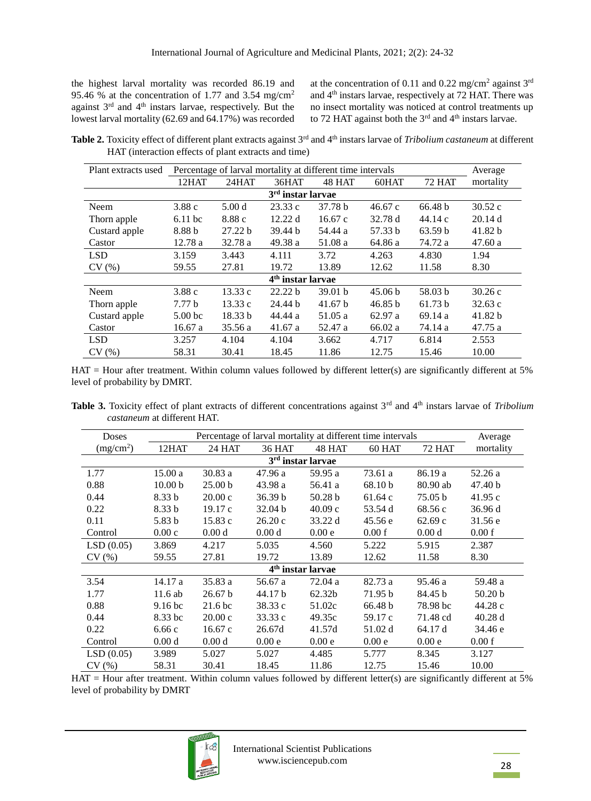the highest larval mortality was recorded 86.19 and 95.46 % at the concentration of 1.77 and 3.54 mg/cm<sup>2</sup> against  $3<sup>rd</sup>$  and  $4<sup>th</sup>$  instars larvae, respectively. But the lowest larval mortality (62.69 and 64.17%) was recorded

at the concentration of 0.11 and 0.22 mg/cm<sup>2</sup> against  $3^{rd}$ and 4th instars larvae, respectively at 72 HAT. There was no insect mortality was noticed at control treatments up to 72 HAT against both the  $3<sup>rd</sup>$  and  $4<sup>th</sup>$  instars larvae.

**Table 2.** Toxicity effect of different plant extracts against 3<sup>rd</sup> and 4<sup>th</sup> instars larvae of *Tribolium castaneum* at different HAT (interaction effects of plant extracts and time)

| Plant extracts used           | Percentage of larval mortality at different time intervals | Average           |         |         |                    |               |           |  |  |  |
|-------------------------------|------------------------------------------------------------|-------------------|---------|---------|--------------------|---------------|-----------|--|--|--|
|                               | 12HAT                                                      | 24HAT             | 36HAT   | 48 HAT  | 60HAT              | <b>72 HAT</b> | mortality |  |  |  |
| $3rd$ instar larvae           |                                                            |                   |         |         |                    |               |           |  |  |  |
| Neem                          | 3.88c                                                      | 5.00 <sub>d</sub> | 23.33c  | 37.78 b | 46.67c             | 66.48 b       | 30.52c    |  |  |  |
| Thorn apple                   | $6.11$ bc                                                  | 8.88c             | 12.22 d | 16.67c  | 32.78 d            | 44.14c        | 20.14d    |  |  |  |
| Custard apple                 | 8.88 b                                                     | 27.22 b           | 39.44 b | 54.44 a | 57.33 b            | 63.59 b       | 41.82 b   |  |  |  |
| Castor                        | 12.78a                                                     | 32.78 a           | 49.38 a | 51.08 a | 64.86 a            | 74.72 a       | 47.60 a   |  |  |  |
| <b>LSD</b>                    | 3.159                                                      | 3.443             | 4.111   | 3.72    | 4.263              | 4.830         | 1.94      |  |  |  |
| CV(%)                         | 59.55                                                      | 27.81             | 19.72   | 13.89   | 12.62              | 11.58         | 8.30      |  |  |  |
| 4 <sup>th</sup> instar larvae |                                                            |                   |         |         |                    |               |           |  |  |  |
| Neem                          | 3.88c                                                      | 13.33c            | 22.22 b | 39.01 b | 45.06 <sub>b</sub> | 58.03 b       | 30.26c    |  |  |  |
| Thorn apple                   | 7.77 <sub>b</sub>                                          | 13.33c            | 24.44 b | 41.67 b | 46.85 b            | 61.73 b       | 32.63c    |  |  |  |
| Custard apple                 | 5.00 <sub>bc</sub>                                         | 18.33 b           | 44.44 a | 51.05 a | 62.97a             | 69.14a        | 41.82 b   |  |  |  |
| Castor                        | 16.67a                                                     | 35.56 a           | 41.67 a | 52.47 a | 66.02 a            | 74.14 a       | 47.75 a   |  |  |  |
| <b>LSD</b>                    | 3.257                                                      | 4.104             | 4.104   | 3.662   | 4.717              | 6.814         | 2.553     |  |  |  |
| CV(%)                         | 58.31                                                      | 30.41             | 18.45   | 11.86   | 12.75              | 15.46         | 10.00     |  |  |  |

 $HAT =$  Hour after treatment. Within column values followed by different letter(s) are significantly different at 5% level of probability by DMRT.

Table 3. Toxicity effect of plant extracts of different concentrations against 3<sup>rd</sup> and 4<sup>th</sup> instars larvae of *Tribolium castaneum* at different HAT.

| <b>Doses</b>                  |                    | Average            |                   |                               |         |                   |                    |  |  |  |
|-------------------------------|--------------------|--------------------|-------------------|-------------------------------|---------|-------------------|--------------------|--|--|--|
| (mg/cm <sup>2</sup> )         | 12HAT              | 24 HAT             | <b>36 HAT</b>     | 48 HAT                        | 60 HAT  | <b>72 HAT</b>     | mortality          |  |  |  |
| 3 <sup>rd</sup> instar larvae |                    |                    |                   |                               |         |                   |                    |  |  |  |
| 1.77                          | 15.00a             | 30.83 a            | 47.96 a           | 59.95 a                       | 73.61 a | 86.19 a           | 52.26 a            |  |  |  |
| 0.88                          | 10.00 <sub>b</sub> | 25.00 <sub>b</sub> | 43.98 a           | 56.41 a                       | 68.10 b | 80.90 ab          | 47.40 b            |  |  |  |
| 0.44                          | 8.33 b             | 20.00c             | 36.39 b           | 50.28 b                       | 61.64 c | 75.05 b           | 41.95c             |  |  |  |
| 0.22                          | 8.33 <sub>b</sub>  | 19.17c             | 32.04 b           | 40.09c                        | 53.54 d | 68.56 c           | 36.96 d            |  |  |  |
| 0.11                          | 5.83 b             | 15.83 c            | 26.20c            | 33.22 d                       | 45.56 e | 62.69c            | 31.56 e            |  |  |  |
| Control                       | 0.00c              | 0.00 <sub>d</sub>  | 0.00 <sub>d</sub> | 0.00e                         | 0.00 f  | 0.00 <sub>d</sub> | 0.00 f             |  |  |  |
| LSD(0.05)                     | 3.869              | 4.217              | 5.035             | 4.560                         | 5.222   | 5.915             | 2.387              |  |  |  |
| CV(%)                         | 59.55              | 27.81              | 19.72             | 13.89                         | 12.62   | 11.58             | 8.30               |  |  |  |
|                               |                    |                    |                   | 4 <sup>th</sup> instar larvae |         |                   |                    |  |  |  |
| 3.54                          | 14.17 a            | 35.83 a            | 56.67 a           | 72.04 a                       | 82.73 a | 95.46 a           | 59.48 a            |  |  |  |
| 1.77                          | $11.6$ ab          | 26.67 b            | 44.17 b           | 62.32b                        | 71.95 b | 84.45 b           | 50.20 <sub>b</sub> |  |  |  |
| 0.88                          | 9.16 <sub>bc</sub> | 21.6 <sub>bc</sub> | 38.33 c           | 51.02c                        | 66.48 b | 78.98 bc          | 44.28 c            |  |  |  |
| 0.44                          | 8.33 bc            | 20.00c             | 33.33c            | 49.35c                        | 59.17 c | 71.48 cd          | 40.28 d            |  |  |  |
| 0.22                          | 6.66c              | 16.67c             | 26.67d            | 41.57d                        | 51.02 d | 64.17 d           | 34.46 e            |  |  |  |
| Control                       | 0.00 d             | 0.00 <sub>d</sub>  | 0.00e             | 0.00e                         | 0.00e   | 0.00e             | 0.00 f             |  |  |  |
| LSD(0.05)                     | 3.989              | 5.027              | 5.027             | 4.485                         | 5.777   | 8.345             | 3.127              |  |  |  |
| CV(%)                         | 58.31              | 30.41              | 18.45             | 11.86                         | 12.75   | 15.46             | 10.00              |  |  |  |

 $HAT =$  Hour after treatment. Within column values followed by different letter(s) are significantly different at 5% level of probability by DMRT

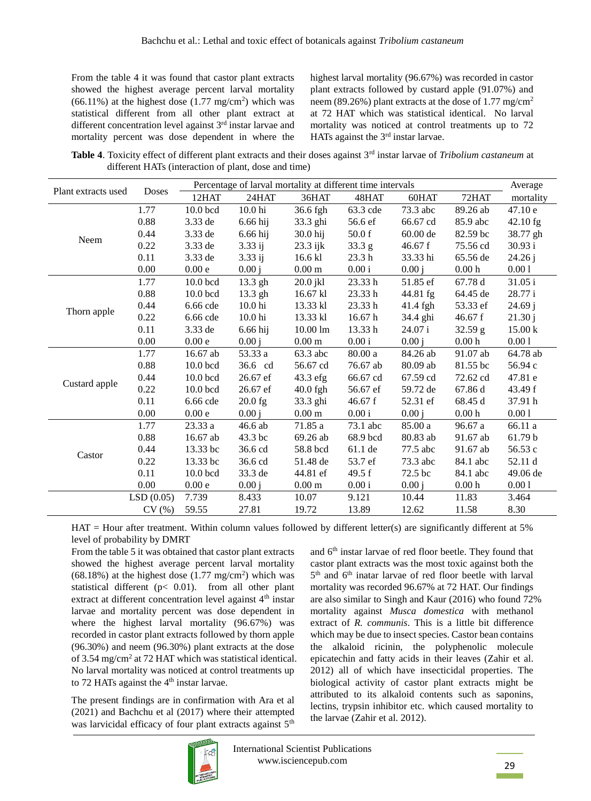From the table 4 it was found that castor plant extracts showed the highest average percent larval mortality  $(66.11\%)$  at the highest dose  $(1.77 \text{ mg/cm}^2)$  which was statistical different from all other plant extract at different concentration level against  $3<sup>rd</sup>$  instar larvae and mortality percent was dose dependent in where the highest larval mortality (96.67%) was recorded in castor plant extracts followed by custard apple (91.07%) and neem (89.26%) plant extracts at the dose of 1.77 mg/cm<sup>2</sup> at 72 HAT which was statistical identical. No larval mortality was noticed at control treatments up to 72 HATs against the  $3<sup>rd</sup>$  instar larvae.

Table 4. Toxicity effect of different plant extracts and their doses against 3<sup>rd</sup> instar larvae of Tribolium castaneum at different HATs (interaction of plant, dose and time)

|                     |           | Percentage of larval mortality at different time intervals |                    |                    |                   |          |                                 |            |
|---------------------|-----------|------------------------------------------------------------|--------------------|--------------------|-------------------|----------|---------------------------------|------------|
| Plant extracts used | Doses     | 12HAT                                                      | 24HAT              | 36HAT              | 48HAT             | 60HAT    | 72HAT                           | mortality  |
|                     | 1.77      | 10.0 bcd                                                   | 10.0 <sub>hi</sub> | 36.6 fgh           | 63.3 cde          | 73.3 abc | 89.26 ab                        | 47.10 e    |
|                     | 0.88      | 3.33 de                                                    | 6.66 hij           | 33.3 ghi           | 56.6 ef           | 66.67 cd | 85.9 abc                        | $42.10$ fg |
|                     | 0.44      | 3.33 de                                                    | 6.66 hij           | 30.0 hij           | 50.0 f            | 60.00 de | 82.59 bc                        | 38.77 gh   |
| Neem                | 0.22      | 3.33 de                                                    | $3.33$ ij          | 23.3 ijk           | 33.3 <sub>g</sub> | 46.67 f  | 75.56 cd                        | 30.93 i    |
|                     | 0.11      | 3.33 de                                                    | $3.33$ ij          | 16.6 kl            | 23.3 <sub>h</sub> | 33.33 hi | 65.56 de                        | 24.26j     |
|                     | 0.00      | 0.00e                                                      | 0.00 i             | $0.00\;\mathrm{m}$ | 0.00i             | 0.00 i   | 0.00 <sub>h</sub>               | 0.001      |
|                     | 1.77      | 10.0 bcd                                                   | 13.3 gh            | $20.0$ jkl         | 23.33h            | 51.85 ef | 67.78 d                         | 31.05i     |
|                     | 0.88      | $10.0$ bcd                                                 | 13.3 gh            | 16.67 kl           | 23.33h            | 44.81 fg | 64.45 de                        | 28.77i     |
|                     | 0.44      | $6.66$ cde                                                 | 10.0 <sub>hi</sub> | 13.33 kl           | 23.33h            | 41.4 fgh | 53.33 ef                        | 24.69j     |
| Thorn apple         | 0.22      | $6.66$ cde                                                 | 10.0 <sub>hi</sub> | 13.33 kl           | 16.67 h           | 34.4 ghi | 46.67 f                         | 21.30j     |
|                     | 0.11      | 3.33 de                                                    | 6.66 hij           | $10.00 \text{ lm}$ | 13.33h            | 24.07i   | 32.59 g                         | 15.00 k    |
|                     | 0.00      | 0.00e                                                      | 0.00j              | $0.00\;\mathrm{m}$ | 0.00i             | 0.00 i   | 0.00 <sub>h</sub>               | 0.001      |
|                     | 1.77      | 16.67 ab                                                   | 53.33 a            | 63.3 abc           | 80.00 a           | 84.26 ab | 91.07 ab                        | 64.78 ab   |
|                     | 0.88      | 10.0 bcd                                                   | 36.6 cd            | 56.67 cd           | 76.67 ab          | 80.09 ab | 81.55 bc                        | 56.94 c    |
|                     | 0.44      | 10.0 bcd                                                   | 26.67 ef           | 43.3 efg           | 66.67 cd          | 67.59 cd | 72.62 cd                        | 47.81 e    |
| Custard apple       | 0.22      | 10.0 bcd                                                   | 26.67 ef           | $40.0$ fgh         | 56.67 ef          | 59.72 de | 67.86 d                         | 43.49 f    |
|                     | 0.11      | 6.66 cde                                                   | $20.0$ fg          | 33.3 ghi           | 46.67 f           | 52.31 ef | 68.45 d                         | 37.91 h    |
|                     | 0.00      | 0.00e                                                      | 0.00j              | $0.00 \text{ m}$   | 0.00i             | 0.00 i   | $0.00\,\ensuremath{\mathrm{h}}$ | $0.00\,1$  |
|                     | 1.77      | 23.33a                                                     | 46.6 ab            | 71.85 a            | 73.1 abc          | 85.00 a  | 96.67 a                         | 66.11 a    |
|                     | 0.88      | 16.67 ab                                                   | 43.3 bc            | 69.26 ab           | 68.9 bcd          | 80.83 ab | 91.67 ab                        | 61.79 b    |
|                     | 0.44      | 13.33 bc                                                   | 36.6 cd            | 58.8 bcd           | 61.1 de           | 77.5 abc | 91.67 ab                        | 56.53 c    |
| Castor              | 0.22      | 13.33 bc                                                   | 36.6 cd            | 51.48 de           | 53.7 ef           | 73.3 abc | 84.1 abc                        | 52.11 d    |
|                     | 0.11      | 10.0 bcd                                                   | 33.3 de            | 44.81 ef           | 49.5 $f$          | 72.5 bc  | 84.1 abc                        | 49.06 de   |
|                     | 0.00      | 0.00e                                                      | 0.00 i             | $0.00 \text{ m}$   | 0.00i             | 0.00 i   | 0.00 <sub>h</sub>               | 0.001      |
|                     | LSD(0.05) | 7.739                                                      | 8.433              | 10.07              | 9.121             | 10.44    | 11.83                           | 3.464      |
|                     | CV(%)     | 59.55                                                      | 27.81              | 19.72              | 13.89             | 12.62    | 11.58                           | 8.30       |

 $HAT =$  Hour after treatment. Within column values followed by different letter(s) are significantly different at 5% level of probability by DMRT

From the table 5 it was obtained that castor plant extracts showed the highest average percent larval mortality  $(68.18\%)$  at the highest dose  $(1.77 \text{ mg/cm}^2)$  which was statistical different ( $p < 0.01$ ). from all other plant extract at different concentration level against 4<sup>th</sup> instar larvae and mortality percent was dose dependent in where the highest larval mortality (96.67%) was recorded in castor plant extracts followed by thorn apple  $(96.30\%)$  and neem  $(96.30\%)$  plant extracts at the dose of 3.54 mg/cm<sup>2</sup> at 72 HAT which was statistical identical. No larval mortality was noticed at control treatments up to 72 HATs against the 4<sup>th</sup> instar larvae.

The present findings are in confirmation with Ara et al  $(2021)$  and Bachchu et al  $(2017)$  where their attempted was larvicidal efficacy of four plant extracts against 5<sup>th</sup> and 6<sup>th</sup> instar larvae of red floor beetle. They found that castor plant extracts was the most toxic against both the 5<sup>th</sup> and 6<sup>th</sup> inatar larvae of red floor beetle with larval mortality was recorded 96.67% at 72 HAT. Our findings are also similar to Singh and Kaur (2016) who found 72% mortality against Musca domestica with methanol extract of R. communis. This is a little bit difference which may be due to insect species. Castor bean contains the alkaloid ricinin, the polyphenolic molecule epicatechin and fatty acids in their leaves (Zahir et al. 2012) all of which have insecticidal properties. The biological activity of castor plant extracts might be attributed to its alkaloid contents such as saponins, lectins, trypsin inhibitor etc. which caused mortality to the larvae (Zahir et al. 2012).

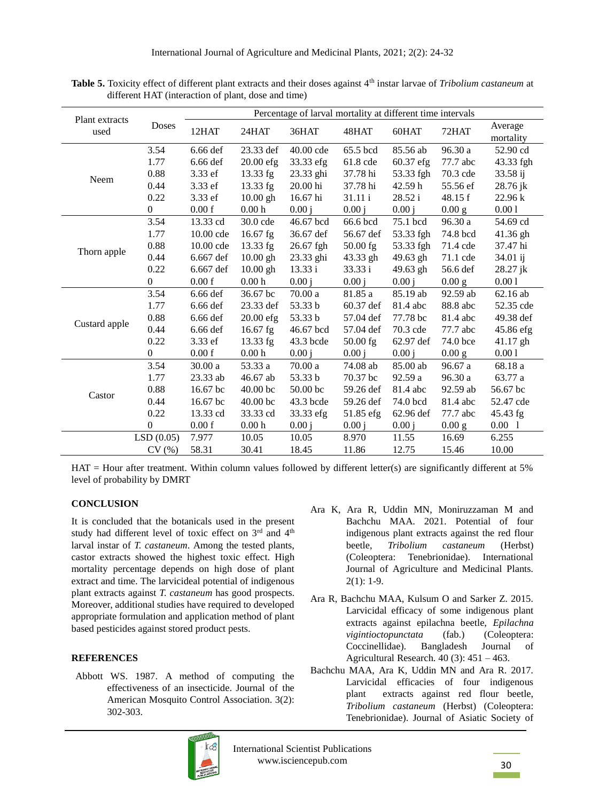|                        |                  | Percentage of larval mortality at different time intervals |                     |            |            |           |          |                      |  |  |
|------------------------|------------------|------------------------------------------------------------|---------------------|------------|------------|-----------|----------|----------------------|--|--|
| Plant extracts<br>used | <b>Doses</b>     | 12HAT                                                      | 24HAT               | 36HAT      | 48HAT      | 60HAT     | 72HAT    | Average<br>mortality |  |  |
|                        | 3.54             | 6.66 def                                                   | 23.33 def           | 40.00 cde  | 65.5 bcd   | 85.56 ab  | 96.30 a  | 52.90 cd             |  |  |
|                        | 1.77             | 6.66 def                                                   | $20.00$ efg         | 33.33 efg  | 61.8 cde   | 60.37 efg | 77.7 abc | 43.33 fgh            |  |  |
|                        | 0.88             | 3.33 ef                                                    | 13.33 fg            | 23.33 ghi  | 37.78 hi   | 53.33 fgh | 70.3 cde | 33.58 ij             |  |  |
| Neem                   | 0.44             | 3.33 ef                                                    | 13.33 fg            | 20.00 hi   | 37.78 hi   | 42.59 h   | 55.56 ef | 28.76 jk             |  |  |
|                        | 0.22             | 3.33 ef                                                    | $10.00$ gh          | 16.67 hi   | 31.11 i    | 28.52 i   | 48.15 f  | 22.96 k              |  |  |
|                        | $\overline{0}$   | 0.00 f                                                     | 0.00 <sub>h</sub>   | 0.00i      | 0.00 i     | 0.00 i    | 0.00 g   | 0.001                |  |  |
|                        | 3.54             | 13.33 cd                                                   | 30.0 cde            | 46.67 bcd  | 66.6 bcd   | 75.1 bcd  | 96.30 a  | 54.69 cd             |  |  |
|                        | 1.77             | 10.00 cde                                                  | 16.67 fg            | 36.67 def  | 56.67 def  | 53.33 fgh | 74.8 bcd | 41.36 gh             |  |  |
|                        | 0.88             | 10.00 cde                                                  | 13.33 fg            | 26.67 fgh  | $50.00$ fg | 53.33 fgh | 71.4 cde | 37.47 hi             |  |  |
| Thorn apple            | 0.44             | 6.667 def                                                  | $10.00$ gh          | 23.33 ghi  | 43.33 gh   | 49.63 gh  | 71.1 cde | 34.01 ij             |  |  |
|                        | 0.22             | $6.667$ def                                                | $10.00$ gh          | 13.33 i    | 33.33 i    | 49.63 gh  | 56.6 def | 28.27 jk             |  |  |
|                        | $\boldsymbol{0}$ | 0.00 f                                                     | 0.00 <sub>h</sub>   | 0.00 i     | 0.00 i     | 0.00j     | 0.00 g   | 0.001                |  |  |
|                        | 3.54             | 6.66 def                                                   | 36.67 bc            | 70.00a     | 81.85 a    | 85.19 ab  | 92.59 ab | 62.16 ab             |  |  |
|                        | 1.77             | $6.66$ def                                                 | 23.33 def           | 53.33 b    | 60.37 def  | 81.4 abc  | 88.8 abc | 52.35 cde            |  |  |
|                        | 0.88             | 6.66 def                                                   | $20.00$ efg         | 53.33 b    | 57.04 def  | 77.78 bc  | 81.4 abc | 49.38 def            |  |  |
| Custard apple          | 0.44             | 6.66 def                                                   | 16.67 fg            | 46.67 bcd  | 57.04 def  | 70.3 cde  | 77.7 abc | 45.86 efg            |  |  |
|                        | 0.22             | 3.33 ef                                                    | 13.33 fg            | 43.3 bcde  | $50.00$ fg | 62.97 def | 74.0 bce | $41.17$ gh           |  |  |
|                        | $\overline{0}$   | 0.00 f                                                     | 0.00 <sub>h</sub>   | 0.00j      | 0.00 i     | 0.00j     | 0.00 g   | 0.001                |  |  |
|                        | 3.54             | 30.00 a                                                    | 53.33 a             | 70.00a     | 74.08 ab   | 85.00 ab  | 96.67 a  | 68.18 a              |  |  |
|                        | 1.77             | 23.33 ab                                                   | 46.67 ab            | 53.33 b    | 70.37 bc   | 92.59 a   | 96.30 a  | 63.77 a              |  |  |
| Castor                 | 0.88             | 16.67 bc                                                   | 40.00 <sub>bc</sub> | $50.00$ bc | 59.26 def  | 81.4 abc  | 92.59 ab | 56.67 bc             |  |  |
|                        | 0.44             | 16.67 bc                                                   | $40.00$ bc          | 43.3 bcde  | 59.26 def  | 74.0 bcd  | 81.4 abc | 52.47 cde            |  |  |
|                        | 0.22             | 13.33 cd                                                   | 33.33 cd            | 33.33 efg  | 51.85 efg  | 62.96 def | 77.7 abc | 45.43 fg             |  |  |
|                        | $\theta$         | 0.00 f                                                     | $0.00\ \mathrm{h}$  | 0.00j      | 0.00j      | 0.00j     | 0.00 g   | $0.00\ 1$            |  |  |
|                        | LSD(0.05)        | 7.977                                                      | 10.05               | 10.05      | 8.970      | 11.55     | 16.69    | 6.255                |  |  |
|                        | CV(%)            | 58.31                                                      | 30.41               | 18.45      | 11.86      | 12.75     | 15.46    | 10.00                |  |  |

Table 5. Toxicity effect of different plant extracts and their doses against 4<sup>th</sup> instar larvae of Tribolium castaneum at different HAT (interaction of plant, dose and time)

 $HAT =$  Hour after treatment. Within column values followed by different letter(s) are significantly different at 5% level of probability by DMRT

## **CONCLUSION**

It is concluded that the botanicals used in the present study had different level of toxic effect on 3<sup>rd</sup> and 4<sup>th</sup> larval instar of T. castaneum. Among the tested plants, castor extracts showed the highest toxic effect. High mortality percentage depends on high dose of plant extract and time. The larvicideal potential of indigenous plant extracts against T. castaneum has good prospects. Moreover, additional studies have required to developed appropriate formulation and application method of plant based pesticides against stored product pests.

#### **REFERENCES**

Abbott WS. 1987. A method of computing the effectiveness of an insecticide. Journal of the American Mosquito Control Association. 3(2): 302-303.

- Ara K, Ara R, Uddin MN, Moniruzzaman M and Bachchu MAA, 2021. Potential of four indigenous plant extracts against the red flour **Tribolium** castaneum beetle. (Herbst) (Coleoptera: Tenebrionidae). International Journal of Agriculture and Medicinal Plants.  $2(1): 1-9.$
- Ara R, Bachchu MAA, Kulsum O and Sarker Z. 2015. Larvicidal efficacy of some indigenous plant extracts against epilachna beetle, Epilachna vigintioctopunctata  $(fab.)$ (Coleoptera: Coccinellidae). Bangladesh Journal of Agricultural Research.  $40(3)$ :  $451 - 463$ .
- Bachchu MAA, Ara K, Uddin MN and Ara R. 2017. Larvicidal efficacies of four indigenous extracts against red flour beetle, plant Tribolium castaneum (Herbst) (Coleoptera: Tenebrionidae). Journal of Asiatic Society of

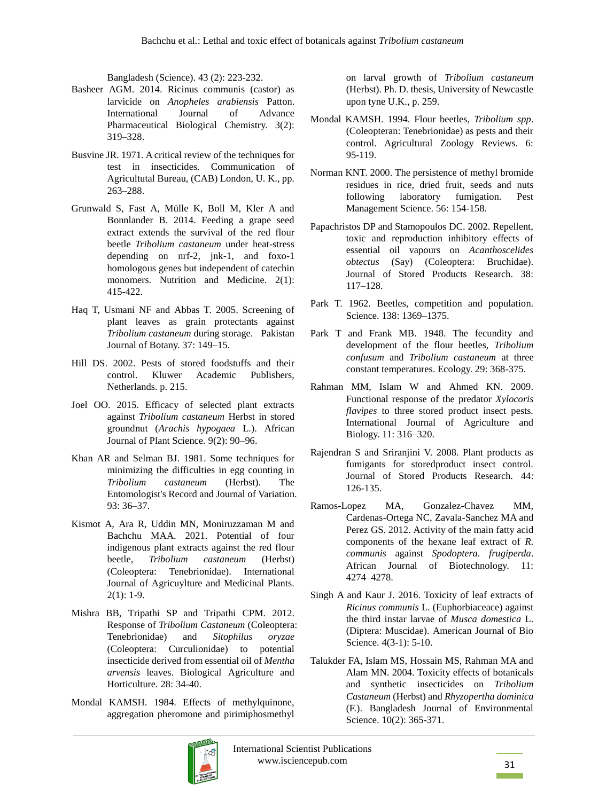Bangladesh (Science). 43 (2): 223-232.

- Basheer AGM. 2014. Ricinus communis (castor) as larvicide on *Anopheles arabiensis* Patton. International Journal of Advance Pharmaceutical Biological Chemistry. 3(2): 319–328.
- Busvine JR. 1971. A critical review of the techniques for test in insecticides. Communication of Agricultutal Bureau, (CAB) London, U. K., pp. 263–288.
- Grunwald S, Fast A, Mülle K, Boll M, Kler A and Bonnlander B. 2014. Feeding a grape seed extract extends the survival of the red flour beetle *Tribolium castaneum* under heat-stress depending on nrf-2, jnk-1, and foxo-1 homologous genes but independent of catechin monomers. Nutrition and Medicine. 2(1): 415-422.
- Haq T, Usmani NF and Abbas T. 2005. Screening of plant leaves as grain protectants against *Tribolium castaneum* during storage. Pakistan Journal of Botany. 37: 149–15.
- Hill DS. 2002. Pests of stored foodstuffs and their control. Kluwer Academic Publishers, Netherlands. p. 215.
- Joel OO. 2015. Efficacy of selected plant extracts against *Tribolium castaneum* Herbst in stored groundnut (*Arachis hypogaea* L.). African Journal of Plant Science*.* 9(2): 90–96.
- Khan AR and Selman BJ. 1981. Some techniques for minimizing the difficulties in egg counting in *Tribolium castaneum* (Herbst). The Entomologist's Record and Journal of Variation. 93: 36–37.
- Kismot A, Ara R, Uddin MN, Moniruzzaman M and Bachchu MAA. 2021. Potential of four indigenous plant extracts against the red flour beetle, *Tribolium castaneum* (Herbst) (Coleoptera: Tenebrionidae). International Journal of Agricuylture and Medicinal Plants.  $2(1): 1-9.$
- Mishra BB, Tripathi SP and Tripathi CPM. 2012. Response of *Tribolium Castaneum* (Coleoptera: Tenebrionidae) and *Sitophilus oryzae* (Coleoptera: Curculionidae) to potential insecticide derived from essential oil of *Mentha arvensis* leaves. Biological Agriculture and Horticulture*.* 28: 34-40.
- Mondal KAMSH. 1984. Effects of methylquinone, aggregation pheromone and pirimiphosmethyl

on larval growth of *Tribolium castaneum* (Herbst). Ph. D. thesis, University of Newcastle upon tyne U.K., p. 259.

- Mondal KAMSH. 1994. Flour beetles, *Tribolium spp*. (Coleopteran: Tenebrionidae) as pests and their control. Agricultural Zoology Reviews. 6: 95-119.
- Norman KNT. 2000. The persistence of methyl bromide residues in rice, dried fruit, seeds and nuts following laboratory fumigation. Pest Management Science. 56: 154-158.
- Papachristos DP and Stamopoulos DC. 2002. Repellent, toxic and reproduction inhibitory effects of essential oil vapours on *Acanthoscelides obtectus* (Say) (Coleoptera: Bruchidae). Journal of Stored Products Research. 38: 117–128.
- Park T. 1962. Beetles, competition and population. Science. 138: 1369–1375.
- Park T and Frank MB. 1948. The fecundity and development of the flour beetles, *Tribolium confusum* and *Tribolium castaneum* at three constant temperatures. Ecology. 29: 368-375.
- Rahman MM, Islam W and Ahmed KN. 2009. Functional response of the predator *Xylocoris flavipes* to three stored product insect pests. International Journal of Agriculture and Biology. 11: 316–320.
- Rajendran S and Sriranjini V. 2008. Plant products as fumigants for storedproduct insect control. Journal of Stored Products Research*.* 44: 126-135.
- Ramos-Lopez MA, Gonzalez-Chavez MM, Cardenas-Ortega NC, Zavala-Sanchez MA and Perez GS. 2012. Activity of the main fatty acid components of the hexane leaf extract of *R. communis* against *Spodoptera. frugiperda*. African Journal of Biotechnology. 11: 4274–4278.
- Singh A and Kaur J. 2016. Toxicity of leaf extracts of *Ricinus communis* L. (Euphorbiaceace) against the third instar larvae of *Musca domestica* L. (Diptera: Muscidae). American Journal of Bio Science. 4(3-1): 5-10.
- Talukder FA, Islam MS, Hossain MS, Rahman MA and Alam MN. 2004. Toxicity effects of botanicals and synthetic insecticides on *Tribolium Castaneum* (Herbst) and *Rhyzopertha dominica* (F.). Bangladesh Journal of Environmental Science. 10(2): 365-371.